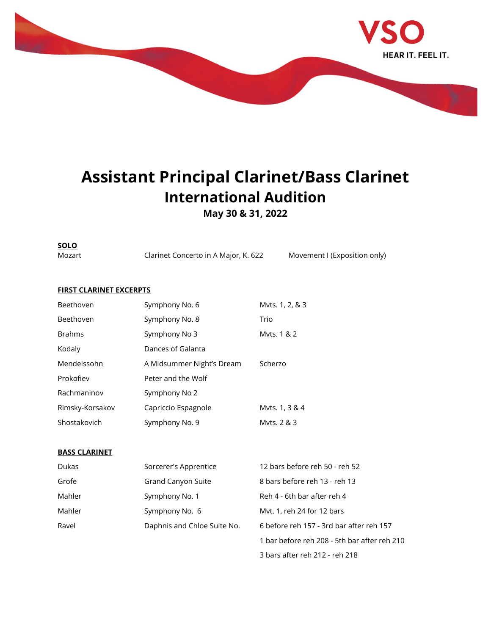

## **Assistant Principal Clarinet/Bass Clarinet International Audition**

**May 30 & 31, 2022**

**SOLO**

Mozart Clarinet Concerto in A Major, K. 622 Movement I (Exposition only)

## **FIRST CLARINET EXCERPTS**

| Beethoven       | Symphony No. 6            | Myts. 1, 2, & 3 |
|-----------------|---------------------------|-----------------|
| Beethoven       | Symphony No. 8            | Trio            |
| <b>Brahms</b>   | Symphony No 3             | Myts. 1 & 2     |
| Kodaly          | Dances of Galanta         |                 |
| Mendelssohn     | A Midsummer Night's Dream | Scherzo         |
| Prokofiev       | Peter and the Wolf        |                 |
| Rachmaninov     | Symphony No 2             |                 |
| Rimsky-Korsakov | Capriccio Espagnole       | Mvts. 1, 3 & 4  |
| Shostakovich    | Symphony No. 9            | Myts, 2 & 3     |

## **BASS CLARINET**

| Dukas  | Sorcerer's Apprentice       | 12 bars before reh 50 - reh 52               |
|--------|-----------------------------|----------------------------------------------|
| Grofe  | Grand Canyon Suite          | 8 bars before reh 13 - reh 13                |
| Mahler | Symphony No. 1              | Reh 4 - 6th bar after reh 4                  |
| Mahler | Symphony No. 6              | Myt. 1, reh 24 for 12 bars                   |
| Ravel  | Daphnis and Chloe Suite No. | 6 before reh 157 - 3rd bar after reh 157     |
|        |                             | 1 bar before reh 208 - 5th bar after reh 210 |
|        |                             | 3 bars after reh 212 - reh 218               |